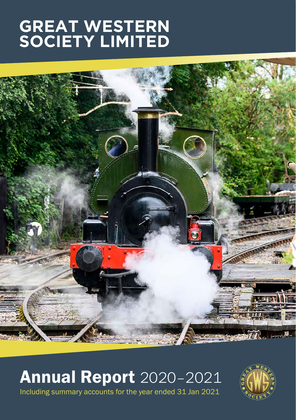# **GREAT WESTERN SOCIETY LIMITED**



# Annual Report 2020–2021



Including summary accounts for the year ended 31 Jan 2021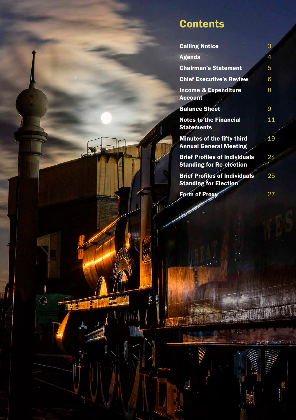# **Contents**

D

**TETE** 

| <b>Calling Notice</b>                                                   | 3  |
|-------------------------------------------------------------------------|----|
| <b>Agenda</b>                                                           | 4  |
| <b>Chairman's Statement</b>                                             | 5  |
| <b>Chief Executive's Review</b>                                         | 6  |
| <b>Income &amp; Expenditure</b><br><b>Account</b>                       | 8  |
| <b>Balance Sheet</b>                                                    | 9  |
| <b>Notes to the Financial</b><br><b>Statements</b>                      | 11 |
| Minutes of the fifty-third<br><b>Annual General Meeting</b>             | 19 |
| <b>Brief Profiles of Individuals</b><br><b>Standing for Re-election</b> | 24 |
| <b>Brief Profiles of Individuals</b><br><b>Standing for Election</b>    | 25 |
| Form of Proxy                                                           | 27 |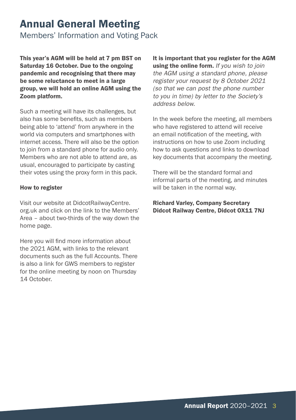### Annual General Meeting

Members' Information and Voting Pack

This year's AGM will be held at 7 pm BST on Saturday 16 October. Due to the ongoing pandemic and recognising that there may be some reluctance to meet in a large group, we will hold an online AGM using the Zoom platform.

Such a meeting will have its challenges, but also has some benefits, such as members being able to 'attend' from anywhere in the world via computers and smartphones with internet access. There will also be the option to join from a standard phone for audio only. Members who are not able to attend are, as usual, encouraged to participate by casting their votes using the proxy form in this pack.

#### How to register

Visit our website at DidcotRailwayCentre. org.uk and click on the link to the Members' Area – about two-thirds of the way down the home page.

Here you will find more information about the 2021 AGM, with links to the relevant documents such as the full Accounts. There is also a link for GWS members to register for the online meeting by noon on Thursday 14 October.

It is important that you register for the AGM using the online form. *If you wish to join the AGM using a standard phone, please register your request by 8 October 2021 (so that we can post the phone number to you in time) by letter to the Society's address below.* 

In the week before the meeting, all members who have registered to attend will receive an email notification of the meeting, with instructions on how to use Zoom including how to ask questions and links to download key documents that accompany the meeting.

There will be the standard formal and informal parts of the meeting, and minutes will be taken in the normal way.

Richard Varley, Company Secretary Didcot Railway Centre, Didcot OX11 7NJ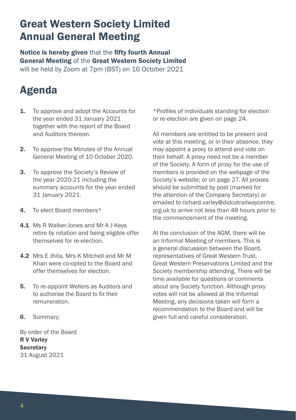### Great Western Society Limited Annual General Meeting

Notice is hereby given that the fifty fourth Annual General Meeting of the Great Western Society Limited will be held by Zoom at 7pm (BST) on 16 October 2021

### Agenda

- **1.** To approve and adopt the Accounts for the year ended 31 January 2021 together with the report of the Board and Auditors thereon.
- 2. To approve the Minutes of the Annual General Meeting of 10 October 2020.
- 3. To approve the Society's Review of the year 2020-21 including the summary accounts for the year ended 31 January 2021.
- 4. To elect Board members\*
- 4.1 Ms R Walker-Jones and Mr A J Keys retire by rotation and being eligible offer themselves for re-election.
- 4.2 Mrs E Jhita, Mrs K Mitchell and Mr M Khan were co-opted to the Board and offer themselves for election.
- 5. To re-appoint Wellers as Auditors and to authorise the Board to fix their remuneration.
- 6. Summary.

By order of the Board R V Varley **Secretary** 31 August 2021

\*Profiles of individuals standing for election or re-election are given on page 24.

All members are entitled to be present and vote at this meeting, or in their absence, they may appoint a proxy to attend and vote on their behalf. A proxy need not be a member of the Society. A form of proxy for the use of members is provided on the webpage of the Society's website; or on page 27. All proxies should be submitted by post (marked for the attention of the Company Secretary) or emailed to richard.varley@didcotrailwaycentre. org.uk to arrive not less than 48 hours prior to the commencement of the meeting.

At the conclusion of the AGM, there will be an Informal Meeting of members. This is a general discussion between the Board, representatives of Great Western Trust, Great Western Preservations Limited and the Society membership attending. There will be time available for questions or comments about any Society function. Although proxy votes will not be allowed at the Informal Meeting, any decisions taken will form a recommendation to the Board and will be given full and careful consideration.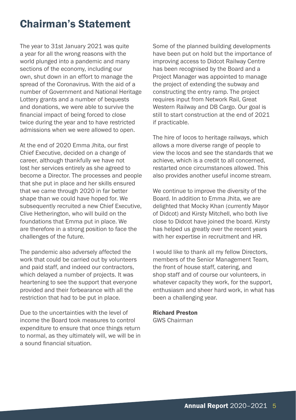### Chairman's Statement

The year to 31st January 2021 was quite a year for all the wrong reasons with the world plunged into a pandemic and many sections of the economy, including our own, shut down in an effort to manage the spread of the Coronavirus. With the aid of a number of Government and National Heritage Lottery grants and a number of bequests and donations, we were able to survive the financial impact of being forced to close twice during the year and to have restricted admissions when we were allowed to open.

At the end of 2020 Emma Jhita, our first Chief Executive, decided on a change of career, although thankfully we have not lost her services entirely as she agreed to become a Director. The processes and people that she put in place and her skills ensured that we came through 2020 in far better shape than we could have hoped for. We subsequently recruited a new Chief Executive, Clive Hetherington, who will build on the foundations that Emma put in place. We are therefore in a strong position to face the challenges of the future.

The pandemic also adversely affected the work that could be carried out by volunteers and paid staff, and indeed our contractors, which delayed a number of projects. It was heartening to see the support that everyone provided and their forbearance with all the restriction that had to be put in place.

Due to the uncertainties with the level of income the Board took measures to control expenditure to ensure that once things return to normal, as they ultimately will, we will be in a sound financial situation.

Some of the planned building developments have been put on hold but the importance of improving access to Didcot Railway Centre has been recognised by the Board and a Project Manager was appointed to manage the project of extending the subway and constructing the entry ramp. The project requires input from Network Rail, Great Western Railway and DB Cargo. Our goal is still to start construction at the end of 2021 if practicable.

The hire of locos to heritage railways, which allows a more diverse range of people to view the locos and see the standards that we achieve, which is a credit to all concerned, restarted once circumstances allowed. This also provides another useful income stream.

We continue to improve the diversity of the Board. In addition to Emma Jhita, we are delighted that Mocky Khan (currently Mayor of Didcot) and Kirsty Mitchell, who both live close to Didcot have joined the board. Kirsty has helped us greatly over the recent years with her expertise in recruitment and HR.

I would like to thank all my fellow Directors, members of the Senior Management Team, the front of house staff, catering, and shop staff and of course our volunteers, in whatever capacity they work, for the support, enthusiasm and sheer hard work, in what has been a challenging year.

Richard Preston GWS Chairman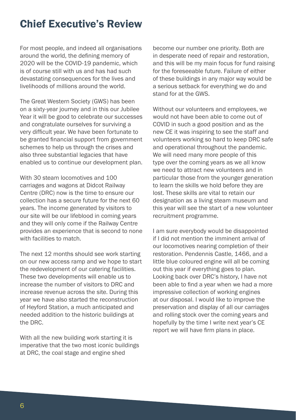### Chief Executive's Review

For most people, and indeed all organisations around the world, the defining memory of 2020 will be the COVID-19 pandemic, which is of course still with us and has had such devastating consequences for the lives and livelihoods of millions around the world.

The Great Western Society (GWS) has been on a sixty-year journey and in this our Jubilee Year it will be good to celebrate our successes and congratulate ourselves for surviving a very difficult year. We have been fortunate to be granted financial support from government schemes to help us through the crises and also three substantial legacies that have enabled us to continue our development plan.

With 30 steam locomotives and 100 carriages and wagons at Didcot Railway Centre (DRC) now is the time to ensure our collection has a secure future for the next 60 years. The income generated by visitors to our site will be our lifeblood in coming years and they will only come if the Railway Centre provides an experience that is second to none with facilities to match.

The next 12 months should see work starting on our new access ramp and we hope to start the redevelopment of our catering facilities. These two developments will enable us to increase the number of visitors to DRC and increase revenue across the site. During this year we have also started the reconstruction of Heyford Station, a much anticipated and needed addition to the historic buildings at the DRC.

With all the new building work starting it is imperative that the two most iconic buildings at DRC, the coal stage and engine shed

become our number one priority. Both are in desperate need of repair and restoration, and this will be my main focus for fund raising for the foreseeable future. Failure of either of these buildings in any major way would be a serious setback for everything we do and stand for at the GWS.

Without our volunteers and employees, we would not have been able to come out of COVID in such a good position and as the new CE it was inspiring to see the staff and volunteers working so hard to keep DRC safe and operational throughout the pandemic. We will need many more people of this type over the coming years as we all know we need to attract new volunteers and in particular those from the younger generation to learn the skills we hold before they are lost. These skills are vital to retain our designation as a living steam museum and this year will see the start of a new volunteer recruitment programme.

I am sure everybody would be disappointed if I did not mention the imminent arrival of our locomotives nearing completion of their restoration. Pendennis Castle, 1466, and a little blue coloured engine will all be coming out this year if everything goes to plan. Looking back over DRC's history, I have not been able to find a year when we had a more impressive collection of working engines at our disposal. I would like to improve the preservation and display of all our carriages and rolling stock over the coming years and hopefully by the time I write next year's CE report we will have firm plans in place.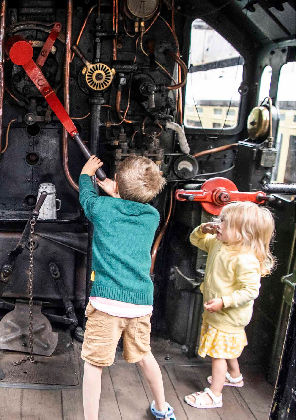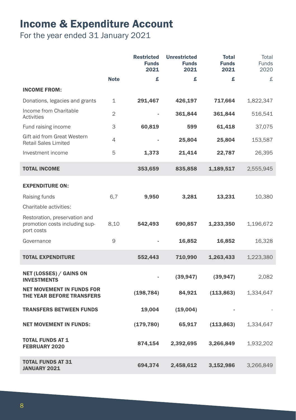### Income & Expenditure Account

For the year ended 31 January 2021

|                                                                               |                | <b>Restricted</b><br><b>Funds</b><br>2021 | <b>Unrestricted</b><br><b>Funds</b><br>2021 | <b>Total</b><br><b>Funds</b><br>2021 | Total<br><b>Funds</b><br>2020 |
|-------------------------------------------------------------------------------|----------------|-------------------------------------------|---------------------------------------------|--------------------------------------|-------------------------------|
|                                                                               | <b>Note</b>    | £                                         | £                                           | £                                    | £                             |
| <b>INCOME FROM:</b>                                                           |                |                                           |                                             |                                      |                               |
| Donations, legacies and grants                                                | $\mathbf{1}$   | 291,467                                   | 426,197                                     | 717,664                              | 1,822,347                     |
| Income from Charitable<br><b>Activities</b>                                   | $\overline{2}$ | ä,                                        | 361,844                                     | 361,844                              | 516,541                       |
| Fund raising income                                                           | 3              | 60,819                                    | 599                                         | 61,418                               | 37,075                        |
| Gift aid from Great Western<br><b>Retail Sales Limited</b>                    | 4              | ×,                                        | 25,804                                      | 25,804                               | 153,587                       |
| Investment income                                                             | 5              | 1,373                                     | 21,414                                      | 22,787                               | 26,395                        |
| <b>TOTAL INCOME</b>                                                           |                | 353,659                                   | 835,858                                     | 1,189,517                            | 2,555,945                     |
| <b>EXPENDITURE ON:</b>                                                        |                |                                           |                                             |                                      |                               |
| Raising funds                                                                 | 6,7            | 9,950                                     | 3,281                                       | 13,231                               | 10,380                        |
| Charitable activities:                                                        |                |                                           |                                             |                                      |                               |
| Restoration, preservation and<br>promotion costs including sup-<br>port costs | 8,10           | 542,493                                   | 690,857                                     | 1,233,350                            | 1,196,672                     |
| Governance                                                                    | 9              |                                           | 16,852                                      | 16,852                               | 16,328                        |
| <b>TOTAL EXPENDITURE</b>                                                      |                | 552,443                                   | 710,990                                     | 1,263,433                            | 1,223,380                     |
| <b>NET (LOSSES) / GAINS ON</b><br><b>INVESTMENTS</b>                          |                | ٠                                         | (39, 947)                                   | (39, 947)                            | 2,082                         |
| <b>NET MOVEMENT IN FUNDS FOR</b><br>THE YEAR BEFORE TRANSFERS                 |                | (198, 784)                                | 84,921                                      | (113, 863)                           | 1,334,647                     |
| <b>TRANSFERS BETWEEN FUNDS</b>                                                |                | 19,004                                    | (19,004)                                    |                                      |                               |
| <b>NET MOVEMENT IN FUNDS:</b>                                                 |                | (179, 780)                                | 65,917                                      | (113, 863)                           | 1,334,647                     |
| <b>TOTAL FUNDS AT 1</b><br><b>FEBRUARY 2020</b>                               |                | 874,154                                   | 2,392,695                                   | 3,266,849                            | 1,932,202                     |
| <b>TOTAL FUNDS AT 31</b><br><b>JANUARY 2021</b>                               |                | 694,374                                   | 2,458,612                                   | 3,152,986                            | 3,266,849                     |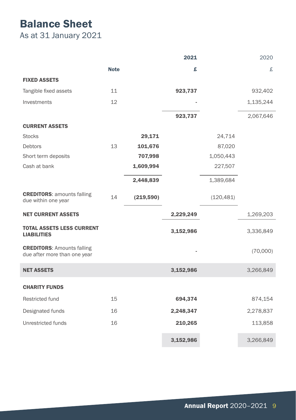### Balance Sheet

As at 31 January 2021

|                                                                   |             |            | 2021      |            | 2020      |
|-------------------------------------------------------------------|-------------|------------|-----------|------------|-----------|
|                                                                   | <b>Note</b> |            | £         |            | £         |
| <b>FIXED ASSETS</b>                                               |             |            |           |            |           |
| Tangible fixed assets                                             | 11          |            | 923,737   |            | 932,402   |
| Investments                                                       | 12          |            |           |            | 1,135,244 |
|                                                                   |             |            | 923,737   |            | 2,067,646 |
| <b>CURRENT ASSETS</b>                                             |             |            |           |            |           |
| <b>Stocks</b>                                                     |             | 29,171     |           | 24,714     |           |
| <b>Debtors</b>                                                    | 13          | 101,676    |           | 87,020     |           |
| Short term deposits                                               |             | 707,998    |           | 1,050,443  |           |
| Cash at bank                                                      |             | 1,609,994  |           | 227,507    |           |
|                                                                   |             | 2,448,839  |           | 1,389,684  |           |
| <b>CREDITORS: amounts falling</b><br>due within one year          | 14          | (219, 590) |           | (120, 481) |           |
| <b>NET CURRENT ASSETS</b>                                         |             |            | 2,229,249 |            | 1,269,203 |
| <b>TOTAL ASSETS LESS CURRENT</b><br><b>LIABILITIES</b>            |             |            | 3,152,986 |            | 3,336,849 |
| <b>CREDITORS: Amounts falling</b><br>due after more than one year |             |            |           |            | (70,000)  |
| <b>NET ASSETS</b>                                                 |             |            | 3,152,986 |            | 3,266,849 |
| <b>CHARITY FUNDS</b>                                              |             |            |           |            |           |
| Restricted fund                                                   | 15          |            | 694,374   |            | 874,154   |
| Designated funds                                                  | 16          |            | 2,248,347 |            | 2,278,837 |
| Unrestricted funds                                                | 16          |            | 210,265   |            | 113,858   |
|                                                                   |             |            | 3,152,986 |            | 3,266,849 |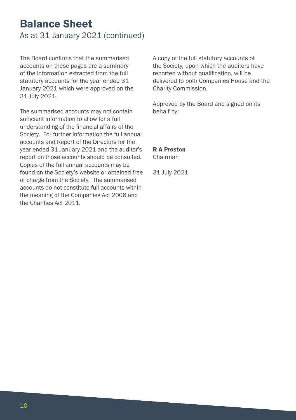### Balance Sheet As at 31 January 2021 (continued)

The Board confirms that the summarised accounts on these pages are a summary of the information extracted from the full statutory accounts for the year ended 31 January 2021 which were approved on the 31 July 2021.

The summarised accounts may not contain sufficient information to allow for a full understanding of the financial affairs of the Society. For further information the full annual accounts and Report of the Directors for the year ended 31 January 2021 and the auditor's report on those accounts should be consulted. Copies of the full annual accounts may be found on the Society's website or obtained free of charge from the Society. The summarised accounts do not constitute full accounts within the meaning of the Companies Act 2006 and the Charities Act 2011.

A copy of the full statutory accounts of the Society, upon which the auditors have reported without qualification, will be delivered to both Companies House and the Charity Commission.

Approved by the Board and signed on its behalf by:

#### R A Preston Chairman

31 July 2021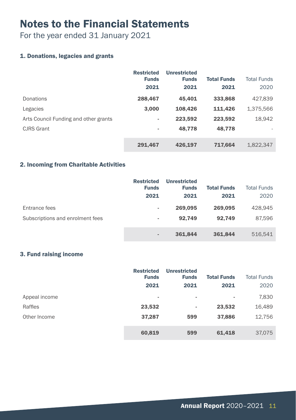For the year ended 31 January 2021

#### 1. Donations, legacies and grants

|                                       | <b>Restricted</b><br><b>Funds</b><br>2021 | <b>Unrestricted</b><br><b>Funds</b><br>2021 | <b>Total Funds</b><br>2021 | <b>Total Funds</b><br>2020 |
|---------------------------------------|-------------------------------------------|---------------------------------------------|----------------------------|----------------------------|
| Donations                             | 288,467                                   | 45.401                                      | 333,868                    | 427,839                    |
| Legacies                              | 3,000                                     | 108,426                                     | 111.426                    | 1,375,566                  |
| Arts Council Funding and other grants | ٠                                         | 223,592                                     | 223,592                    | 18,942                     |
| <b>CJRS</b> Grant                     | ٠                                         | 48.778                                      | 48.778                     | ٠                          |
|                                       | 291,467                                   | 426.197                                     | 717.664                    | 1.822.347                  |

#### 2. Incoming from Charitable Activities

|                                  | <b>Restricted</b><br><b>Funds</b><br>2021 | <b>Unrestricted</b><br><b>Funds</b><br>2021 | <b>Total Funds</b><br>2021 | <b>Total Funds</b><br>2020 |
|----------------------------------|-------------------------------------------|---------------------------------------------|----------------------------|----------------------------|
| Entrance fees                    | ٠                                         | 269.095                                     | 269.095                    | 428.945                    |
| Subscriptions and enrolment fees | ٠                                         | 92.749                                      | 92.749                     | 87,596                     |
|                                  | $\blacksquare$                            | 361.844                                     | 361.844                    | 516.541                    |

#### 3. Fund raising income

|               | <b>Restricted</b><br><b>Funds</b><br>2021 | <b>Unrestricted</b><br><b>Funds</b><br>2021 | <b>Total Funds</b><br>2021 | <b>Total Funds</b><br>2020 |
|---------------|-------------------------------------------|---------------------------------------------|----------------------------|----------------------------|
| Appeal income | ٠                                         | ٠                                           | ۰                          | 7,830                      |
| Raffles       | 23,532                                    | ٠                                           | 23,532                     | 16,489                     |
| Other Income  | 37,287                                    | 599                                         | 37,886                     | 12,756                     |
|               | 60,819                                    | 599                                         | 61.418                     | 37.075                     |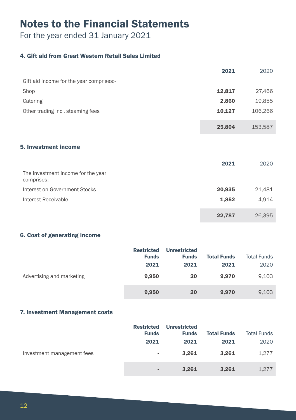For the year ended 31 January 2021

#### 4. Gift aid from Great Western Retail Sales Limited

|                                          | 2021   | 2020    |
|------------------------------------------|--------|---------|
| Gift aid income for the year comprises:- |        |         |
| Shop                                     | 12,817 | 27,466  |
| Catering                                 | 2.860  | 19,855  |
| Other trading incl. steaming fees        | 10.127 | 106.266 |
|                                          | 25,804 | 153,587 |

#### 5. Investment income

|                                                   | 2021   | 2020   |
|---------------------------------------------------|--------|--------|
| The investment income for the year<br>comprises:- |        |        |
| Interest on Government Stocks                     | 20,935 | 21,481 |
| Interest Receivable                               | 1.852  | 4.914  |
|                                                   | 22,787 | 26.395 |

#### 6. Cost of generating income

|                           | <b>Restricted</b><br><b>Funds</b><br>2021 | <b>Unrestricted</b><br><b>Funds</b><br>2021 | <b>Total Funds</b><br>2021 | Total Funds<br>2020 |
|---------------------------|-------------------------------------------|---------------------------------------------|----------------------------|---------------------|
| Advertising and marketing | 9.950                                     | 20                                          | 9.970                      | 9,103               |
|                           | 9.950                                     | 20                                          | 9.970                      | 9,103               |

#### 7. Investment Management costs

|                            | <b>Restricted</b><br><b>Funds</b><br>2021 | <b>Unrestricted</b><br><b>Funds</b><br>2021 | <b>Total Funds</b><br>2021 | <b>Total Funds</b><br>2020 |
|----------------------------|-------------------------------------------|---------------------------------------------|----------------------------|----------------------------|
| Investment management fees | ٠                                         | 3.261                                       | 3.261                      | 1.277                      |
|                            | $\blacksquare$                            | 3.261                                       | 3.261                      | 1,277                      |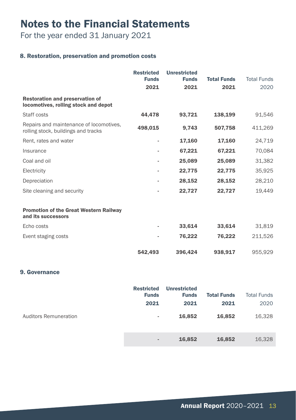For the year ended 31 January 2021

#### 8. Restoration, preservation and promotion costs

|                                                                                | <b>Restricted</b><br><b>Funds</b> | <b>Unrestricted</b><br><b>Funds</b> | <b>Total Funds</b> | <b>Total Funds</b> |
|--------------------------------------------------------------------------------|-----------------------------------|-------------------------------------|--------------------|--------------------|
|                                                                                | 2021                              | 2021                                | 2021               | 2020               |
| <b>Restoration and preservation of</b><br>locomotives, rolling stock and depot |                                   |                                     |                    |                    |
| Staff costs                                                                    | 44.478                            | 93,721                              | 138,199            | 91,546             |
| Repairs and maintenance of locomotives,<br>rolling stock, buildings and tracks | 498,015                           | 9.743                               | 507,758            | 411,269            |
| Rent, rates and water                                                          | ٠                                 | 17,160                              | 17,160             | 24,719             |
| Insurance                                                                      | ٠                                 | 67,221                              | 67,221             | 70,084             |
| Coal and oil                                                                   | ٠                                 | 25,089                              | 25,089             | 31,382             |
| Electricity                                                                    | ٠                                 | 22,775                              | 22,775             | 35,925             |
| Depreciation                                                                   | ٠                                 | 28,152                              | 28,152             | 28,210             |
| Site cleaning and security                                                     | ٠                                 | 22.727                              | 22,727             | 19,449             |
| <b>Promotion of the Great Western Railway</b><br>and its successors            |                                   |                                     |                    |                    |
| Echo costs                                                                     |                                   | 33,614                              | 33,614             | 31,819             |
| Event staging costs                                                            |                                   | 76.222                              | 76.222             | 211,526            |
|                                                                                | 542.493                           | 396.424                             | 938.917            | 955.929            |

#### 9. Governance

|                              | <b>Restricted</b><br><b>Funds</b><br>2021 | <b>Unrestricted</b><br><b>Funds</b><br>2021 | <b>Total Funds</b><br>2021 | <b>Total Funds</b><br>2020 |
|------------------------------|-------------------------------------------|---------------------------------------------|----------------------------|----------------------------|
| <b>Auditors Remuneration</b> | ٠                                         | 16.852                                      | 16.852                     | 16,328                     |
|                              | $\blacksquare$                            | 16,852                                      | 16,852                     | 16.328                     |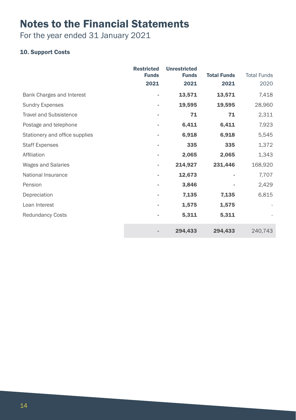For the year ended 31 January 2021

#### 10. Support Costs

| 2021<br>2021<br>2021<br>13,571<br>13,571<br>Bank Charges and Interest<br>٠<br>19,595<br>19,595<br><b>Sundry Expenses</b><br>٠<br>71<br><b>Travel and Subsistence</b><br>71<br>٠<br>6,411<br>6,411<br>Postage and telephone<br>٠<br>6,918<br>6,918<br>Stationery and office supplies<br>٠<br>335<br>335<br><b>Staff Expenses</b><br>٠ | <b>Total Funds</b> |
|--------------------------------------------------------------------------------------------------------------------------------------------------------------------------------------------------------------------------------------------------------------------------------------------------------------------------------------|--------------------|
|                                                                                                                                                                                                                                                                                                                                      | 2020               |
|                                                                                                                                                                                                                                                                                                                                      | 7,418              |
|                                                                                                                                                                                                                                                                                                                                      | 28,960             |
|                                                                                                                                                                                                                                                                                                                                      | 2,311              |
|                                                                                                                                                                                                                                                                                                                                      | 7,923              |
|                                                                                                                                                                                                                                                                                                                                      | 5,545              |
|                                                                                                                                                                                                                                                                                                                                      | 1,372              |
| Affiliation<br>2,065<br>2,065<br>٠                                                                                                                                                                                                                                                                                                   | 1,343              |
| 231,446<br>214,927<br><b>Wages and Salaries</b><br>٠                                                                                                                                                                                                                                                                                 | 168,920            |
| 12,673<br>National Insurance<br>٠                                                                                                                                                                                                                                                                                                    | 7,707              |
| 3,846<br>Pension<br>٠                                                                                                                                                                                                                                                                                                                | 2,429              |
| 7,135<br>7,135<br>Depreciation<br>٠                                                                                                                                                                                                                                                                                                  | 6,815              |
| 1,575<br>Loan Interest<br>1,575<br>٠                                                                                                                                                                                                                                                                                                 |                    |
| 5,311<br>5,311<br><b>Redundancy Costs</b><br>٠                                                                                                                                                                                                                                                                                       |                    |
| 294,433<br>294,433                                                                                                                                                                                                                                                                                                                   | 240,743            |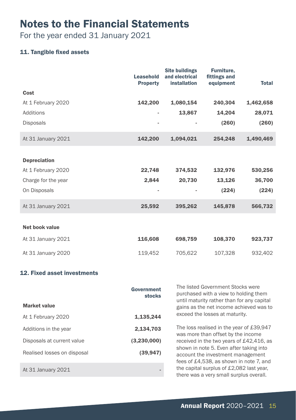For the year ended 31 January 2021

#### 11. Tangible fixed assets

|                     | Leasehold<br><b>Property</b> | <b>Site buildings</b><br>and electrical<br>installation | Furniture,<br>fittings and<br>equipment | <b>Total</b> |
|---------------------|------------------------------|---------------------------------------------------------|-----------------------------------------|--------------|
| Cost                |                              |                                                         |                                         |              |
| At 1 February 2020  | 142,200                      | 1,080,154                                               | 240,304                                 | 1,462,658    |
| Additions           |                              | 13,867                                                  | 14,204                                  | 28,071       |
| <b>Disposals</b>    |                              |                                                         | (260)                                   | (260)        |
| At 31 January 2021  | 142,200                      | 1,094,021                                               | 254,248                                 | 1,490,469    |
|                     |                              |                                                         |                                         |              |
| <b>Depreciation</b> |                              |                                                         |                                         |              |
| At 1 February 2020  | 22,748                       | 374,532                                                 | 132,976                                 | 530,256      |
| Charge for the year | 2,844                        | 20,730                                                  | 13,126                                  | 36,700       |
| On Disposals        |                              |                                                         | (224)                                   | (224)        |
| At 31 January 2021  | 25,592                       | 395,262                                                 | 145,878                                 | 566,732      |
|                     |                              |                                                         |                                         |              |
| Net book value      |                              |                                                         |                                         |              |
| At 31 January 2021  | 116,608                      | 698,759                                                 | 108,370                                 | 923,737      |
| At 31 January 2020  | 119,452                      | 705,622                                                 | 107,328                                 | 932,402      |
|                     |                              |                                                         |                                         |              |

#### 12. Fixed asset investments

| <b>Market value</b>         | <b>Government</b><br><b>stocks</b> | The listed Government Stocks were<br>purchased with a view to holding them<br>until maturity rather than for any capital<br>gains as the net income achieved was to |
|-----------------------------|------------------------------------|---------------------------------------------------------------------------------------------------------------------------------------------------------------------|
| At 1 February 2020          | 1,135,244                          | exceed the losses at maturity.                                                                                                                                      |
| Additions in the year       | 2,134,703                          | The loss realised in the year of £39,947<br>was more than offset by the income                                                                                      |
| Disposals at current value  | (3,230,000)                        | received in the two years of £42,416, as                                                                                                                            |
| Realised losses on disposal | (39, 947)                          | shown in note 5. Even after taking into<br>account the investment management<br>fees of £4,538, as shown in note 7, and                                             |
| At 31 January 2021          |                                    | the capital surplus of £2,082 last year,<br>there was a very small surplus overall.                                                                                 |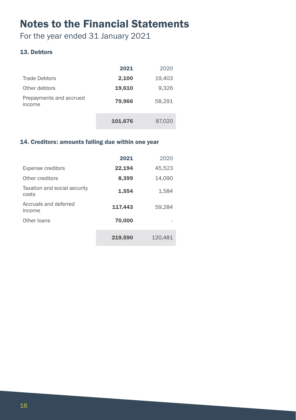For the year ended 31 January 2021

#### 13. Debtors

|                                   | 2021    | 2020   |
|-----------------------------------|---------|--------|
| <b>Trade Debtors</b>              | 2,100   | 19,403 |
| Other debtors                     | 19,610  | 9,326  |
| Prepayments and accrued<br>income | 79,966  | 58,291 |
|                                   | 101,676 | 87,020 |

#### 14. Creditors: amounts falling due within one year

|                                       | 2021    | 2020    |
|---------------------------------------|---------|---------|
| <b>Expense creditors</b>              | 22,194  | 45,523  |
| Other creditors                       | 8,399   | 14,090  |
| Taxation and social security<br>costs | 1,554   | 1,584   |
| Accruals and deferred<br>income       | 117,443 | 59.284  |
| Other loans                           | 70,000  |         |
|                                       | 219,590 | 120.481 |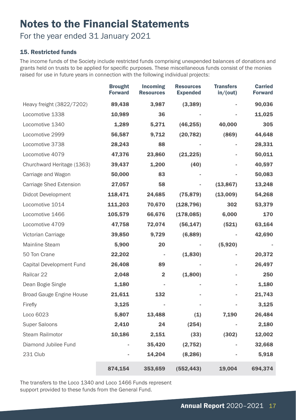For the year ended 31 January 2021

#### 15. Restricted funds

The income funds of the Society include restricted funds comprising unexpended balances of donations and grants held on trusts to be applied for specific purposes. These miscellaneous funds consist of the monies raised for use in future years in connection with the following individual projects:

|                                 | <b>Brought</b><br><b>Forward</b> | <b>Incoming</b><br><b>Resources</b> | <b>Resources</b><br><b>Expended</b> | <b>Transfers</b><br>$in/$ (out) | <b>Carried</b><br><b>Forward</b> |
|---------------------------------|----------------------------------|-------------------------------------|-------------------------------------|---------------------------------|----------------------------------|
| Heavy freight (3822/7202)       | 89,438                           | 3,987                               | (3,389)                             |                                 | 90,036                           |
| Locomotive 1338                 | 10,989                           | 36                                  |                                     |                                 | 11,025                           |
| Locomotive 1340                 | 1,289                            | 5,271                               | (46, 255)                           | 40,000                          | 305                              |
| Locomotive 2999                 | 56,587                           | 9,712                               | (20, 782)                           | (869)                           | 44,648                           |
| Locomotive 3738                 | 28,243                           | 88                                  |                                     |                                 | 28,331                           |
| Locomotive 4079                 | 47,376                           | 23,860                              | (21, 225)                           |                                 | 50,011                           |
| Churchward Heritage (1363)      | 39,437                           | 1,200                               | (40)                                |                                 | 40,597                           |
| Carriage and Wagon              | 50,000                           | 83                                  |                                     |                                 | 50,083                           |
| Carriage Shed Extension         | 27,057                           | 58                                  |                                     | (13, 867)                       | 13,248                           |
| <b>Didcot Development</b>       | 118,471                          | 24,685                              | (75, 879)                           | (13,009)                        | 54,268                           |
| Locomotive 1014                 | 111,203                          | 70,670                              | (128, 796)                          | 302                             | 53,379                           |
| Locomotive 1466                 | 105,579                          | 66,676                              | (178,085)                           | 6,000                           | 170                              |
| Locomotive 4709                 | 47,758                           | 72,074                              | (56, 147)                           | (521)                           | 63,164                           |
| Victorian Carriage              | 39,850                           | 9,729                               | (6,889)                             |                                 | 42,690                           |
| <b>Mainline Steam</b>           | 5,900                            | 20                                  |                                     | (5,920)                         |                                  |
| 50 Ton Crane                    | 22,202                           | $\overline{\phantom{a}}$            | (1,830)                             |                                 | 20,372                           |
| Capital Development Fund        | 26,408                           | 89                                  |                                     |                                 | 26,497                           |
| Railcar 22                      | 2,048                            | $\overline{2}$                      | (1,800)                             |                                 | 250                              |
| Dean Bogie Single               | 1,180                            | $\overline{a}$                      |                                     |                                 | 1,180                            |
| <b>Broad Gauge Engine House</b> | 21,611                           | 132                                 |                                     |                                 | 21,743                           |
| Firefly                         | 3,125                            |                                     |                                     |                                 | 3,125                            |
| Loco 6023                       | 5,807                            | 13,488                              | (1)                                 | 7,190                           | 26,484                           |
| <b>Super Saloons</b>            | 2,410                            | 24                                  | (254)                               |                                 | 2,180                            |
| Steam Railmotor                 | 10,186                           | 2,151                               | (33)                                | (302)                           | 12,002                           |
| Diamond Jubilee Fund            |                                  | 35,420                              | (2,752)                             |                                 | 32,668                           |
| 231 Club                        |                                  | 14,204                              | (8,286)                             |                                 | 5,918                            |
|                                 | 874,154                          | 353,659                             | (552, 443)                          | 19,004                          | 694,374                          |

The transfers to the Loco 1340 and Loco 1466 Funds represent support provided to these funds from the General Fund.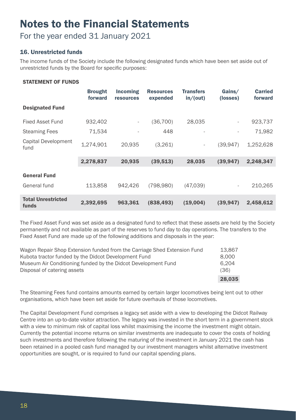For the year ended 31 January 2021

#### 16. Unrestricted funds

The income funds of the Society include the following designated funds which have been set aside out of unrestricted funds by the Board for specific purposes:

#### STATEMENT OF FUNDS

|                                    | <b>Brought</b><br>forward | <b>Incoming</b><br>resources | <b>Resources</b><br>expended | <b>Transfers</b><br>$in/$ (out) | Gains/<br>(losses) | <b>Carried</b><br>forward |
|------------------------------------|---------------------------|------------------------------|------------------------------|---------------------------------|--------------------|---------------------------|
| <b>Designated Fund</b>             |                           |                              |                              |                                 |                    |                           |
| <b>Fixed Asset Fund</b>            | 932,402                   | $\overline{\phantom{a}}$     | (36, 700)                    | 28.035                          |                    | 923,737                   |
| <b>Steaming Fees</b>               | 71,534                    |                              | 448                          |                                 |                    | 71,982                    |
| Capital Development<br>fund        | 1.274.901                 | 20.935                       | (3,261)                      |                                 | (39.947)           | 1,252,628                 |
|                                    | 2,278,837                 | 20,935                       | (39,513)                     | 28,035                          | (39, 947)          | 2,248,347                 |
| <b>General Fund</b>                |                           |                              |                              |                                 |                    |                           |
| General fund                       | 113,858                   | 942.426                      | (798.980)                    | (47,039)                        | -                  | 210,265                   |
| <b>Total Unrestricted</b><br>funds | 2,392,695                 | 963.361                      | (838, 493)                   | (19,004)                        | (39.947)           | 2,458,612                 |

The Fixed Asset Fund was set aside as a designated fund to reflect that these assets are held by the Society permanently and not available as part of the reserves to fund day to day operations. The transfers to the Fixed Asset Fund are made up of the following additions and disposals in the year:

| Wagon Repair Shop Extension funded from the Carriage Shed Extension Fund | 13.867 |
|--------------------------------------------------------------------------|--------|
| Kubota tractor funded by the Didcot Development Fund                     | 8.000  |
| Museum Air Conditioning funded by the Didcot Development Fund            | 6.204  |
| Disposal of catering assets                                              | (36)   |
|                                                                          | 28.035 |

The Steaming Fees fund contains amounts earned by certain larger locomotives being lent out to other organisations, which have been set aside for future overhauls of those locomotives.

The Capital Development Fund comprises a legacy set aside with a view to developing the Didcot Railway Centre into an up-to-date visitor attraction. The legacy was invested in the short term in a government stock with a view to minimum risk of capital loss whilst maximising the income the investment might obtain. Currently the potential income returns on similar investments are inadequate to cover the costs of holding such investments and therefore following the maturing of the investment in January 2021 the cash has been retained in a pooled cash fund managed by our investment managers whilst alternative investment opportunities are sought, or is required to fund our capital spending plans.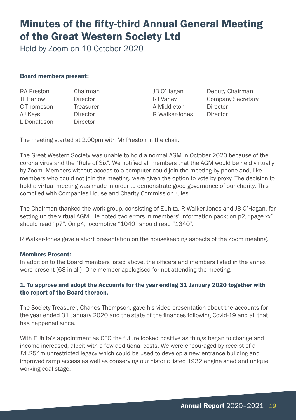### Minutes of the fifty-third Annual General Meeting of the Great Western Society Ltd

Held by Zoom on 10 October 2020

#### Board members present:

RA Preston Chairman JL Barlow Director C Thompson Treasurer AJ Keys Director L Donaldson Director

A Middleton Director R Walker-Jones Director

JB O'Hagan Deputy Chairman RJ Varley Company Secretary

The meeting started at 2.00pm with Mr Preston in the chair.

The Great Western Society was unable to hold a normal AGM in October 2020 because of the corona virus and the "Rule of Six". We notified all members that the AGM would be held virtually by Zoom. Members without access to a computer could join the meeting by phone and, like members who could not join the meeting, were given the option to vote by proxy. The decision to hold a virtual meeting was made in order to demonstrate good governance of our charity. This complied with Companies House and Charity Commission rules.

The Chairman thanked the work group, consisting of E Jhita, R Walker-Jones and JB O'Hagan, for setting up the virtual AGM. He noted two errors in members' information pack; on p2, "page xx" should read "p7". On p4, locomotive "1040" should read "1340".

R Walker-Jones gave a short presentation on the housekeeping aspects of the Zoom meeting.

#### Members Present:

In addition to the Board members listed above, the officers and members listed in the annex were present (68 in all). One member apologised for not attending the meeting.

#### 1. To approve and adopt the Accounts for the year ending 31 January 2020 together with the report of the Board thereon.

The Society Treasurer, Charles Thompson, gave his video presentation about the accounts for the year ended 31 January 2020 and the state of the finances following Covid-19 and all that has happened since.

With E Jhita's appointment as CEO the future looked positive as things began to change and income increased, albeit with a few additional costs. We were encouraged by receipt of a £1.254m unrestricted legacy which could be used to develop a new entrance building and improved ramp access as well as conserving our historic listed 1932 engine shed and unique working coal stage.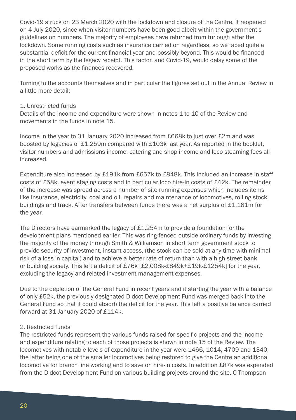Covid-19 struck on 23 March 2020 with the lockdown and closure of the Centre. It reopened on 4 July 2020, since when visitor numbers have been good albeit within the government's guidelines on numbers. The majority of employees have returned from furlough after the lockdown. Some running costs such as insurance carried on regardless, so we faced quite a substantial deficit for the current financial year and possibly beyond. This would be financed in the short term by the legacy receipt. This factor, and Covid-19, would delay some of the proposed works as the finances recovered.

Turning to the accounts themselves and in particular the figures set out in the Annual Review in a little more detail:

#### 1. Unrestricted funds

Details of the income and expenditure were shown in notes 1 to 10 of the Review and movements in the funds in note 15.

Income in the year to 31 January 2020 increased from £668k to just over £2m and was boosted by legacies of £1.259m compared with £103k last year. As reported in the booklet, visitor numbers and admissions income, catering and shop income and loco steaming fees all increased.

Expenditure also increased by £191k from £657k to £848k. This included an increase in staff costs of £58k, event staging costs and in particular loco hire-in costs of £42k. The remainder of the increase was spread across a number of site running expenses which includes items like insurance, electricity, coal and oil, repairs and maintenance of locomotives, rolling stock, buildings and track. After transfers between funds there was a net surplus of £1.181m for the year.

The Directors have earmarked the legacy of £1.254m to provide a foundation for the development plans mentioned earlier. This was ring-fenced outside ordinary funds by investing the majority of the money through Smith & Williamson in short term government stock to provide security of investment, instant access, (the stock can be sold at any time with minimal risk of a loss in capital) and to achieve a better rate of return than with a high street bank or building society. This left a deficit of £76k [£2,008k-£849k+£19k-£1254k] for the year, excluding the legacy and related investment management expenses.

Due to the depletion of the General Fund in recent years and it starting the year with a balance of only £52k, the previously designated Didcot Development Fund was merged back into the General Fund so that it could absorb the deficit for the year. This left a positive balance carried forward at 31 January 2020 of £114k.

#### 2. Restricted funds

The restricted funds represent the various funds raised for specific projects and the income and expenditure relating to each of those projects is shown in note 15 of the Review. The locomotives with notable levels of expenditure in the year were 1466, 1014, 4709 and 1340, the latter being one of the smaller locomotives being restored to give the Centre an additional locomotive for branch line working and to save on hire-in costs. In addition £87k was expended from the Didcot Development Fund on various building projects around the site. C Thompson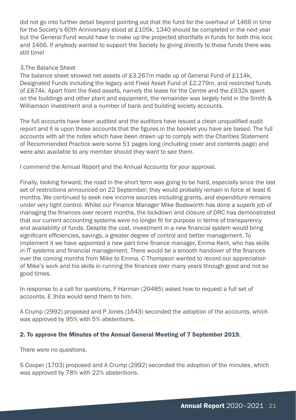did not go into further detail beyond pointing out that the fund for the overhaul of 1466 in time for the Society's 60th Anniversary stood at £105k. 1340 should be completed in the next year but the General Fund would have to make up the projected shortfalls in funds for both this loco and 1466. If anybody wanted to support the Society by giving directly to those funds there was still time!

#### 3.The Balance Sheet

The balance sheet showed net assets of £3.267m made up of General Fund of £114k, Designated Funds including the legacy and Fixed Asset Fund of £2.279m, and restricted funds of £874k. Apart from the fixed assets, namely the lease for the Centre and the £932k spent on the buildings and other plant and equipment, the remainder was largely held in the Smith & Williamson investment and a number of bank and building society accounts.

The full accounts have been audited and the auditors have issued a clean unqualified audit report and it is upon these accounts that the figures in the booklet you have are based. The full accounts with all the notes which have been drawn up to comply with the Charities Statement of Recommended Practice were some 51 pages long (including cover and contents page) and were also available to any member should they want to see them.

I commend the Annual Report and the Annual Accounts for your approval.

Finally, looking forward, the road in the short term was going to be hard, especially since the last set of restrictions announced on 22 September; they would probably remain in force at least 6 months. We continued to seek new income sources including grants, and expenditure remains under very tight control. Whilst our Finance Manager Mike Bodsworth has done a superb job of managing the finances over recent months, the lockdown and closure of DRC has demonstrated that our current accounting systems were no longer fit for purpose in terms of transparency and availability of funds. Despite the cost, investment in a new financial system would bring significant efficiencies, savings, a greater degree of control and better management. To implement it we have appointed a new part time finance manager, Emma Kent, who has skills in IT systems and financial management. There would be a smooth handover of the finances over the coming months from Mike to Emma. C Thompson wanted to record our appreciation of Mike's work and his skills in running the finances over many years through good and not so good times.

In response to a call for questions, F Harman (20485) asked how to request a full set of accounts. E Jhita would send them to him.

A Crump (2992) proposed and P Jones (1643) seconded the adoption of the accounts, which was approved by 95% with 5% abstentions.

#### 2. To approve the Minutes of the Annual General Meeting of 7 September 2019.

There were no questions.

S Cooper (1703) proposed and A Crump (2992) seconded the adoption of the minutes, which was approved by 78% with 22% abstentions.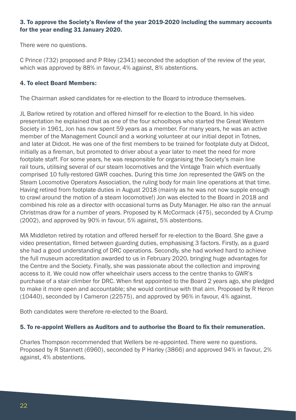#### 3. To approve the Society's Review of the year 2019-2020 including the summary accounts for the year ending 31 January 2020.

There were no questions.

C Prince (732) proposed and P Riley (2341) seconded the adoption of the review of the year, which was approved by 88% in favour, 4% against, 8% abstentions.

#### 4. To elect Board Members:

The Chairman asked candidates for re-election to the Board to introduce themselves.

JL Barlow retired by rotation and offered himself for re-election to the Board. In his video presentation he explained that as one of the four schoolboys who started the Great Western Society in 1961, Jon has now spent 59 years as a member. For many years, he was an active member of the Management Council and a working volunteer at our initial depot in Totnes, and later at Didcot. He was one of the first members to be trained for footplate duty at Didcot, initially as a fireman, but promoted to driver about a year later to meet the need for more footplate staff. For some years, he was responsible for organising the Society's main line rail tours, utilising several of our steam locomotives and the Vintage Train which eventually comprised 10 fully-restored GWR coaches. During this time Jon represented the GWS on the Steam Locomotive Operators Association, the ruling body for main line operations at that time. Having retired from footplate duties in August 2018 (mainly as he was not now supple enough to crawl around the motion of a steam locomotive!) Jon was elected to the Board in 2018 and combined his role as a director with occasional turns as Duty Manager. He also ran the annual Christmas draw for a number of years. Proposed by K McCormack (475), seconded by A Crump (2002), and approved by 90% in favour, 5% against, 5% abstentions.

MA Middleton retired by rotation and offered herself for re-election to the Board. She gave a video presentation, filmed between guarding duties, emphasising 3 factors. Firstly, as a guard she had a good understanding of DRC operations. Secondly, she had worked hard to achieve the full museum accreditation awarded to us in February 2020, bringing huge advantages for the Centre and the Society. Finally, she was passionate about the collection and improving access to it. We could now offer wheelchair users access to the centre thanks to GWR's purchase of a stair climber for DRC. When first appointed to the Board 2 years ago, she pledged to make it more open and accountable; she would continue with that aim. Proposed by R Heron (10440), seconded by I Cameron (22575), and approved by 96% in favour, 4% against.

Both candidates were therefore re-elected to the Board.

#### 5. To re-appoint Wellers as Auditors and to authorise the Board to fix their remuneration.

Charles Thompson recommended that Wellers be re-appointed. There were no questions. Proposed by R Stannett (6960), seconded by P Harley (3866) and approved 94% in favour, 2% against, 4% abstentions.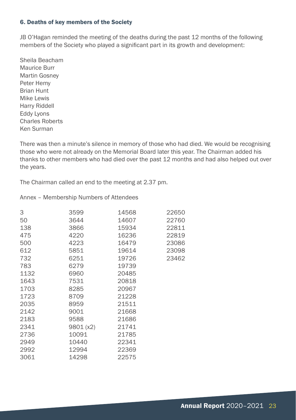#### 6. Deaths of key members of the Society

JB O'Hagan reminded the meeting of the deaths during the past 12 months of the following members of the Society who played a significant part in its growth and development:

Sheila Beacham Maurice Burr Martin Gosney Peter Hemy Brian Hunt Mike Lewis Harry Riddell Eddy Lyons Charles Roberts Ken Surman

There was then a minute's silence in memory of those who had died. We would be recognising those who were not already on the Memorial Board later this year. The Chairman added his thanks to other members who had died over the past 12 months and had also helped out over the years.

The Chairman called an end to the meeting at 2.37 pm.

Annex – Membership Numbers of Attendees

| 3    | 3599      | 14568 | 22650 |
|------|-----------|-------|-------|
| 50   | 3644      | 14607 | 22760 |
| 138  | 3866      | 15934 | 22811 |
| 475  | 4220      | 16236 | 22819 |
| 500  | 4223      | 16479 | 23086 |
| 612  | 5851      | 19614 | 23098 |
| 732  | 6251      | 19726 | 23462 |
| 783  | 6279      | 19739 |       |
| 1132 | 6960      | 20485 |       |
| 1643 | 7531      | 20818 |       |
| 1703 | 8285      | 20967 |       |
| 1723 | 8709      | 21228 |       |
| 2035 | 8959      | 21511 |       |
| 2142 | 9001      | 21668 |       |
| 2183 | 9588      | 21686 |       |
| 2341 | 9801 (x2) | 21741 |       |
| 2736 | 10091     | 21785 |       |
| 2949 | 10440     | 22341 |       |
| 2992 | 12994     | 22369 |       |
| 3061 | 14298     | 22575 |       |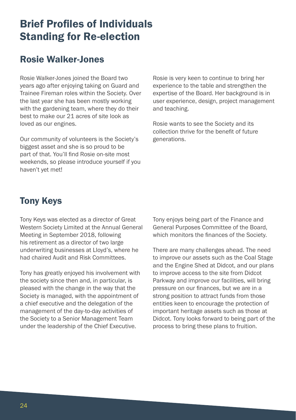### Brief Profiles of Individuals Standing for Re-election

### Rosie Walker-Jones

Rosie Walker-Jones joined the Board two years ago after enjoying taking on Guard and Trainee Fireman roles within the Society. Over the last year she has been mostly working with the gardening team, where they do their best to make our 21 acres of site look as loved as our engines.

Our community of volunteers is the Society's biggest asset and she is so proud to be part of that. You'll find Rosie on-site most weekends, so please introduce yourself if you haven't yet met!

Rosie is very keen to continue to bring her experience to the table and strengthen the expertise of the Board. Her background is in user experience, design, project management and teaching.

Rosie wants to see the Society and its collection thrive for the benefit of future generations.

### Tony Keys

Tony Keys was elected as a director of Great Western Society Limited at the Annual General Meeting in September 2018, following his retirement as a director of two large underwriting businesses at Lloyd's, where he had chaired Audit and Risk Committees.

Tony has greatly enjoyed his involvement with the society since then and, in particular, is pleased with the change in the way that the Society is managed, with the appointment of a chief executive and the delegation of the management of the day-to-day activities of the Society to a Senior Management Team under the leadership of the Chief Executive.

Tony enjoys being part of the Finance and General Purposes Committee of the Board, which monitors the finances of the Society.

There are many challenges ahead. The need to improve our assets such as the Coal Stage and the Engine Shed at Didcot, and our plans to improve access to the site from Didcot Parkway and improve our facilities, will bring pressure on our finances, but we are in a strong position to attract funds from those entities keen to encourage the protection of important heritage assets such as those at Didcot. Tony looks forward to being part of the process to bring these plans to fruition.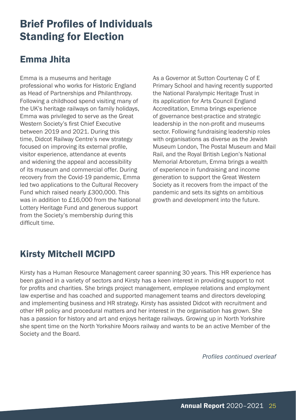### Brief Profiles of Individuals Standing for Election

### Emma Jhita

Emma is a museums and heritage professional who works for Historic England as Head of Partnerships and Philanthropy. Following a childhood spend visiting many of the UK's heritage railways on family holidays, Emma was privileged to serve as the Great Western Society's first Chief Executive between 2019 and 2021. During this time, Didcot Railway Centre's new strategy focused on improving its external profile, visitor experience, attendance at events and widening the appeal and accessibility of its museum and commercial offer. During recovery from the Covid-19 pandemic, Emma led two applications to the Cultural Recovery Fund which raised nearly £300,000. This was in addition to £16,000 from the National Lottery Heritage Fund and generous support from the Society's membership during this difficult time.

As a Governor at Sutton Courtenay C of E Primary School and having recently supported the National Paralympic Heritage Trust in its application for Arts Council England Accreditation, Emma brings experience of governance best-practice and strategic leadership in the non-profit and museums sector. Following fundraising leadership roles with organisations as diverse as the Jewish Museum London, The Postal Museum and Mail Rail, and the Royal British Legion's National Memorial Arboretum, Emma brings a wealth of experience in fundraising and income generation to support the Great Western Society as it recovers from the impact of the pandemic and sets its sights on ambitious growth and development into the future.

### Kirsty Mitchell MCIPD

Kirsty has a Human Resource Management career spanning 30 years. This HR experience has been gained in a variety of sectors and Kirsty has a keen interest in providing support to not for profits and charities. She brings project management, employee relations and employment law expertise and has coached and supported management teams and directors developing and implementing business and HR strategy. Kirsty has assisted Didcot with recruitment and other HR policy and procedural matters and her interest in the organisation has grown. She has a passion for history and art and enjoys heritage railways. Growing up in North Yorkshire she spent time on the North Yorkshire Moors railway and wants to be an active Member of the Society and the Board.

*Profiles continued overleaf*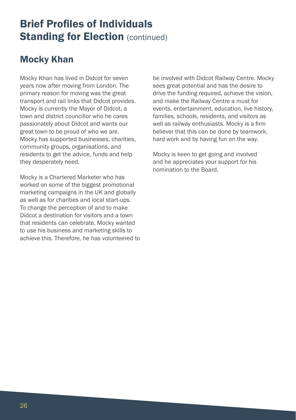### Brief Profiles of Individuals **Standing for Election (continued)**

### Mocky Khan

Mocky Khan has lived in Didcot for seven years now after moving from London. The primary reason for moving was the great transport and rail links that Didcot provides. Mocky is currently the Mayor of Didcot, a town and district councillor who he cares passionately about Didcot and wants our great town to be proud of who we are. Mocky has supported businesses, charities, community groups, organisations, and residents to get the advice, funds and help they desperately need.

Mocky is a Chartered Marketer who has worked on some of the biggest promotional marketing campaigns in the UK and globally as well as for charities and local start-ups. To change the perception of and to make Didcot a destination for visitors and a town that residents can celebrate, Mocky wanted to use his business and marketing skills to achieve this. Therefore, he has volunteered to be involved with Didcot Railway Centre. Mocky sees great potential and has the desire to drive the funding required, achieve the vision, and make the Railway Centre a must for events, entertainment, education, live history, families, schools, residents, and visitors as well as railway enthusiasts. Mocky is a firm believer that this can be done by teamwork, hard work and by having fun on the way.

Mocky is keen to get going and involved and he appreciates your support for his nomination to the Board.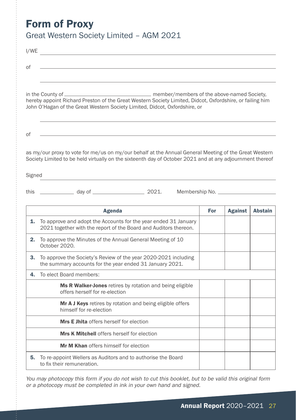### Form of Proxy Great Western Society Limited – AGM 2021

| I/WE   |                                                                                                                                                                                                                   |     |                |                |
|--------|-------------------------------------------------------------------------------------------------------------------------------------------------------------------------------------------------------------------|-----|----------------|----------------|
| οf     |                                                                                                                                                                                                                   |     |                |                |
|        | hereby appoint Richard Preston of the Great Western Society Limited, Didcot, Oxfordshire, or failing him<br>John O'Hagan of the Great Western Society Limited, Didcot, Oxfordshire, or                            |     |                |                |
| οf     |                                                                                                                                                                                                                   |     |                |                |
| Signed | as my/our proxy to vote for me/us on my/our behalf at the Annual General Meeting of the Great Western<br>Society Limited to be held virtually on the sixteenth day of October 2021 and at any adjournment thereof |     |                |                |
|        |                                                                                                                                                                                                                   |     |                |                |
|        | Agenda                                                                                                                                                                                                            | For | <b>Against</b> | <b>Abstain</b> |
|        | <b>1.</b> To approve and adopt the Accounts for the year ended 31 January<br>2021 together with the report of the Board and Auditors thereon.                                                                     |     |                |                |
| 2.     | To approve the Minutes of the Annual General Meeting of 10<br>October 2020.                                                                                                                                       |     |                |                |
| 3.     | To approve the Society's Review of the year 2020-2021 including<br>the summary accounts for the year ended 31 January 2021.                                                                                       |     |                |                |
| 4.     | To elect Board members:                                                                                                                                                                                           |     |                |                |
|        | Ms R Walker-Jones retires by rotation and being eligible<br>offers herself for re-election                                                                                                                        |     |                |                |
|        | Mr A J Keys retires by rotation and being eligible offers<br>himself for re-election                                                                                                                              |     |                |                |
|        | Mrs E Jhita offers herself for election                                                                                                                                                                           |     |                |                |
|        | Mrs K Mitchell offers herself for election                                                                                                                                                                        |     |                |                |
|        | <b>Mr M Khan</b> offers himself for election                                                                                                                                                                      |     |                |                |
| 5.     | To re-appoint Wellers as Auditors and to authorise the Board<br>to fix their remuneration.                                                                                                                        |     |                |                |

*You may photocopy this form if you do not wish to cut this booklet, but to be valid this original form or a photocopy must be completed in ink in your own hand and signed.*